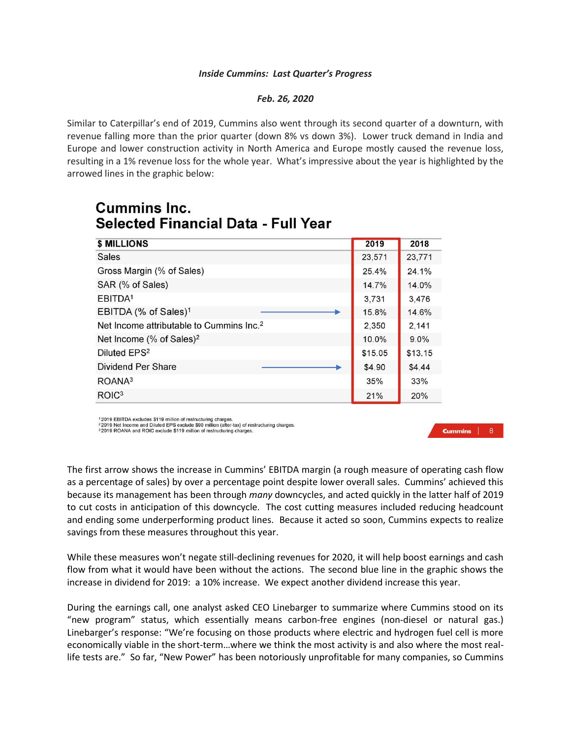## *Inside Cummins: Last Quarter's Progress*

## *Feb. 26, 2020*

Similar to Caterpillar's end of 2019, Cummins also went through its second quarter of a downturn, with revenue falling more than the prior quarter (down 8% vs down 3%). Lower truck demand in India and Europe and lower construction activity in North America and Europe mostly caused the revenue loss, resulting in a 1% revenue loss for the whole year. What's impressive about the year is highlighted by the arrowed lines in the graphic below:

| \$ MILLIONS                                          | 2019    | 2018    |
|------------------------------------------------------|---------|---------|
| Sales                                                | 23,571  | 23,771  |
| Gross Margin (% of Sales)                            | 25.4%   | 24.1%   |
| SAR (% of Sales)                                     | 14.7%   | 14.0%   |
| EBITDA <sup>1</sup>                                  | 3,731   | 3,476   |
| EBITDA (% of Sales) <sup>1</sup>                     | 15.8%   | 14.6%   |
| Net Income attributable to Cummins Inc. <sup>2</sup> | 2,350   | 2,141   |
| Net Income (% of Sales) <sup>2</sup>                 | 10.0%   | 9.0%    |
| Diluted EPS <sup>2</sup>                             | \$15.05 | \$13.15 |
| Dividend Per Share                                   | \$4.90  | \$4.44  |
| ROANA <sup>3</sup>                                   | 35%     | 33%     |
| ROIC <sup>3</sup>                                    | 21%     | 20%     |

## Cummins Inc. Selected Financial Data - Full Year

12019 EBITDA excludes \$119 million of restructuring charges.

2019 Net Income and Diluted EPS exclude \$90 million (after-tax) of restructuring charges.<br><sup>3</sup>2019 ROANA and ROIC exclude \$119 million of restructuring charges.

## **Cummins** 8

The first arrow shows the increase in Cummins' EBITDA margin (a rough measure of operating cash flow as a percentage of sales) by over a percentage point despite lower overall sales. Cummins' achieved this because its management has been through *many* downcycles, and acted quickly in the latter half of 2019 to cut costs in anticipation of this downcycle. The cost cutting measures included reducing headcount and ending some underperforming product lines. Because it acted so soon, Cummins expects to realize savings from these measures throughout this year.

While these measures won't negate still-declining revenues for 2020, it will help boost earnings and cash flow from what it would have been without the actions. The second blue line in the graphic shows the increase in dividend for 2019: a 10% increase. We expect another dividend increase this year.

During the earnings call, one analyst asked CEO Linebarger to summarize where Cummins stood on its "new program" status, which essentially means carbon-free engines (non-diesel or natural gas.) Linebarger's response: "We're focusing on those products where electric and hydrogen fuel cell is more economically viable in the short-term…where we think the most activity is and also where the most reallife tests are." So far, "New Power" has been notoriously unprofitable for many companies, so Cummins